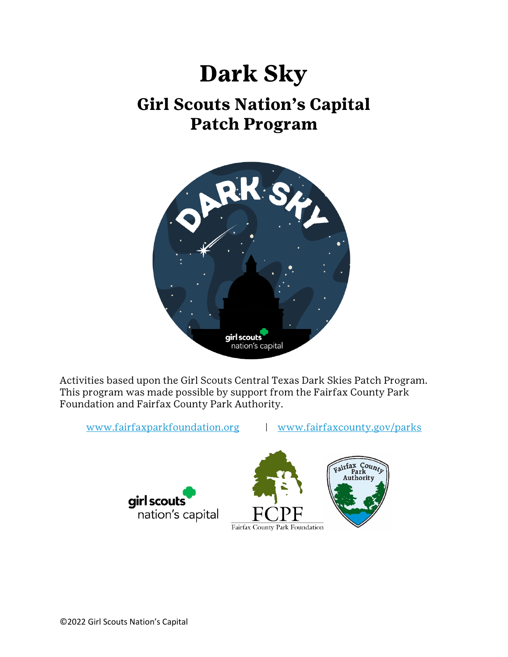# **Dark Sky**

## **Girl Scouts Nation's Capital Patch Program**



Activities based upon the Girl Scouts Central Texas Dark Skies Patch Program. This program was made possible by support from the Fairfax County Park Foundation and Fairfax County Park Authority.

[www.fairfaxparkfoundation.org](http://www.fairfaxparkfoundation.org/) | [www.fairfaxcounty.gov/parks](http://www.fairfaxcounty.gov/parks)



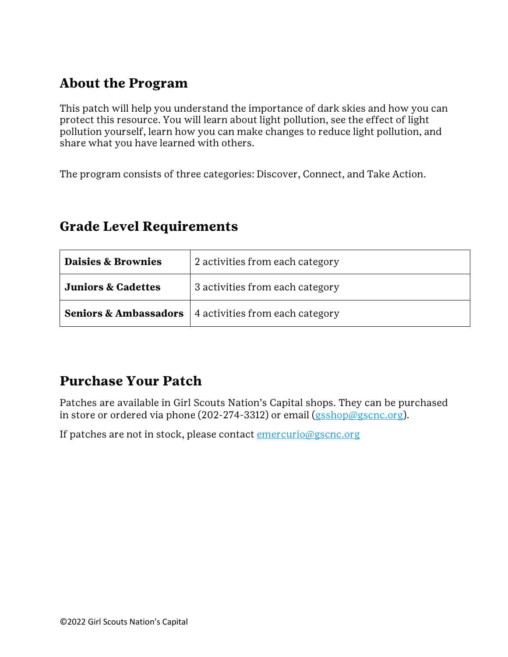## **About the Program**

This patch will help you understand the importance of dark skies and how you can protect this resource. You will learn about light pollution, see the effect of light pollution yourself, learn how you can make changes to reduce light pollution, and share what you have learned with others.

The program consists of three categories: Discover, Connect, and Take Action.

| Daisies & Brownies            | 2 activities from each category                                    |
|-------------------------------|--------------------------------------------------------------------|
| <b>Juniors &amp; Cadettes</b> | 3 activities from each category                                    |
|                               | <b>Seniors &amp; Ambassadors</b>   4 activities from each category |

### **Grade Level Requirements**

## **Purchase Your Patch**

Patches are available in Girl Scouts Nation's Capital shops. They can be purchased in store or ordered via phone (202-274-3312) or email ( $\frac{gsshop(\theta g)}{gscnc.org}$ ).

If patches are not in stock, please contact *emercurio@gscnc.org*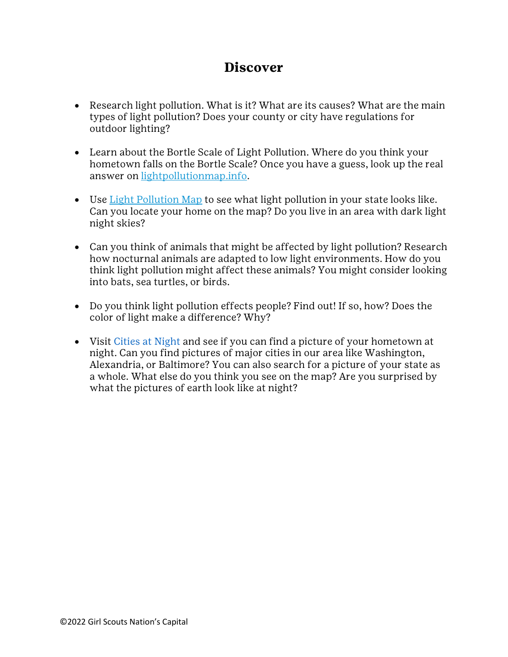#### **Discover**

- Research light pollution. What is it? What are its causes? What are the main types of light pollution? Does your county or city have regulations for outdoor lighting?
- Learn about the Bortle Scale of Light Pollution. Where do you think your hometown falls on the Bortle Scale? Once you have a guess, look up the real answer on [lightpollutionmap.info.](https://www.lightpollutionmap.info/#zoom=4.00&lat=45.8720&lon=14.5470&layers=B0FFFFFFFTFFFFFFFFFFF)
- Use <u>Light Pollution Map</u> to see what light pollution in your state looks like. Can you locate your home on the map? Do you live in an area with dark light night skies?
- Can you think of animals that might be affected by light pollution? Research how nocturnal animals are adapted to low light environments. How do you think light pollution might affect these animals? You might consider looking into bats, sea turtles, or birds.
- Do you think light pollution effects people? Find out! If so, how? Does the color of light make a difference? Why?
- Visit Cities at Night and see if you can find a picture of your hometown at night. Can you find pictures of major cities in our area like Washington, Alexandria, or Baltimore? You can also search for a picture of your state as a whole. What else do you think you see on the map? Are you surprised by what the pictures of earth look like at night?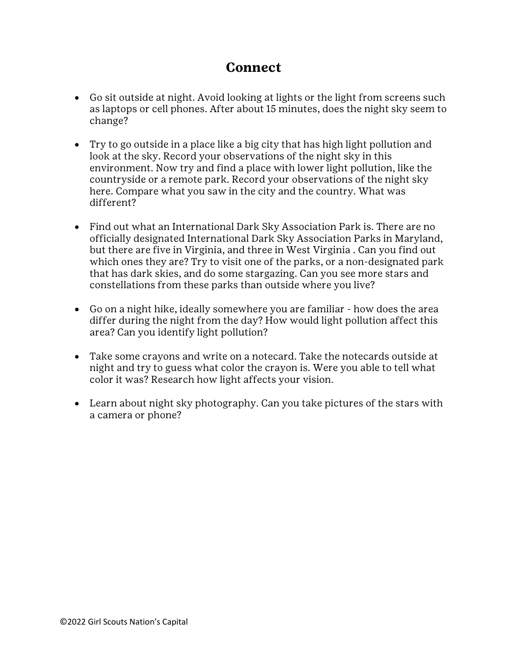#### **Connect**

- Go sit outside at night. Avoid looking at lights or the light from screens such as laptops or cell phones. After about 15 minutes, does the night sky seem to change?
- Try to go outside in a place like a big city that has high light pollution and look at the sky. Record your observations of the night sky in this environment. Now try and find a place with lower light pollution, like the countryside or a remote park. Record your observations of the night sky here. Compare what you saw in the city and the country. What was different?
- Find out what an International Dark Sky Association Park is. There are no officially designated International Dark Sky Association Parks in Maryland, but there are five in Virginia, and three in West Virginia . Can you find out which ones they are? Try to visit one of the parks, or a non-designated park that has dark skies, and do some stargazing. Can you see more stars and constellations from these parks than outside where you live?
- Go on a night hike, ideally somewhere you are familiar how does the area differ during the night from the day? How would light pollution affect this area? Can you identify light pollution?
- Take some crayons and write on a notecard. Take the notecards outside at night and try to guess what color the crayon is. Were you able to tell what color it was? Research how light affects your vision.
- Learn about night sky photography. Can you take pictures of the stars with a camera or phone?